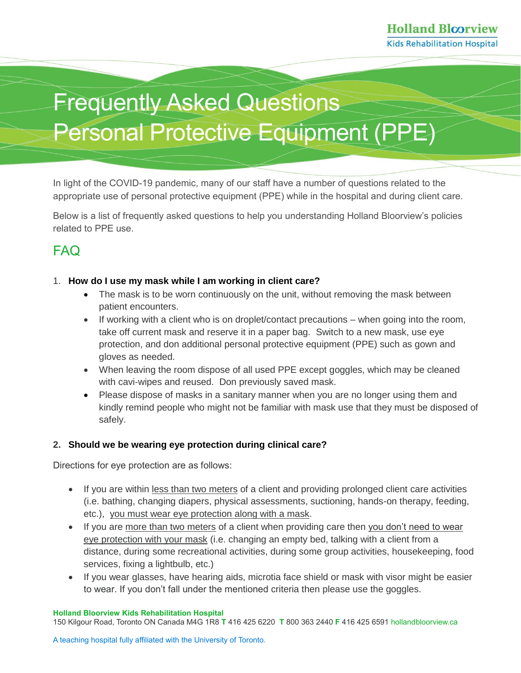# Frequently Asked Questions Personal Protective Equipment (PPE)

In light of the COVID-19 pandemic, many of our staff have a number of questions related to the appropriate use of personal protective equipment (PPE) while in the hospital and during client care.

Below is a list of frequently asked questions to help you understanding Holland Bloorview's policies related to PPE use.

## FAQ

#### 1. **How do I use my mask while I am working in client care?**

- The mask is to be worn continuously on the unit, without removing the mask between patient encounters.
- If working with a client who is on droplet/contact precautions when going into the room, take off current mask and reserve it in a paper bag. Switch to a new mask, use eye protection, and don additional personal protective equipment (PPE) such as gown and gloves as needed.
- When leaving the room dispose of all used PPE except goggles, which may be cleaned with cavi-wipes and reused. Don previously saved mask.
- Please dispose of masks in a sanitary manner when you are no longer using them and kindly remind people who might not be familiar with mask use that they must be disposed of safely.

#### **2. Should we be wearing eye protection during clinical care?**

Directions for eye protection are as follows:

- If you are within less than two meters of a client and providing prolonged client care activities (i.e. bathing, changing diapers, physical assessments, suctioning, hands-on therapy, feeding, etc.), you must wear eye protection along with a mask.
- If you are more than two meters of a client when providing care then you don't need to wear eye protection with your mask (i.e. changing an empty bed, talking with a client from a distance, during some recreational activities, during some group activities, housekeeping, food services, fixing a lightbulb, etc.)
- If you wear glasses, have hearing aids, microtia face shield or mask with visor might be easier to wear. If you don't fall under the mentioned criteria then please use the goggles.

#### **Holland Bloorview Kids Rehabilitation Hospital**

150 Kilgour Road, Toronto ON Canada M4G 1R8 **T** 416 425 6220 **T** 800 363 2440 **F** 416 425 659[1 hollandbloorview.ca](https://www.hollandbloorview.ca/)